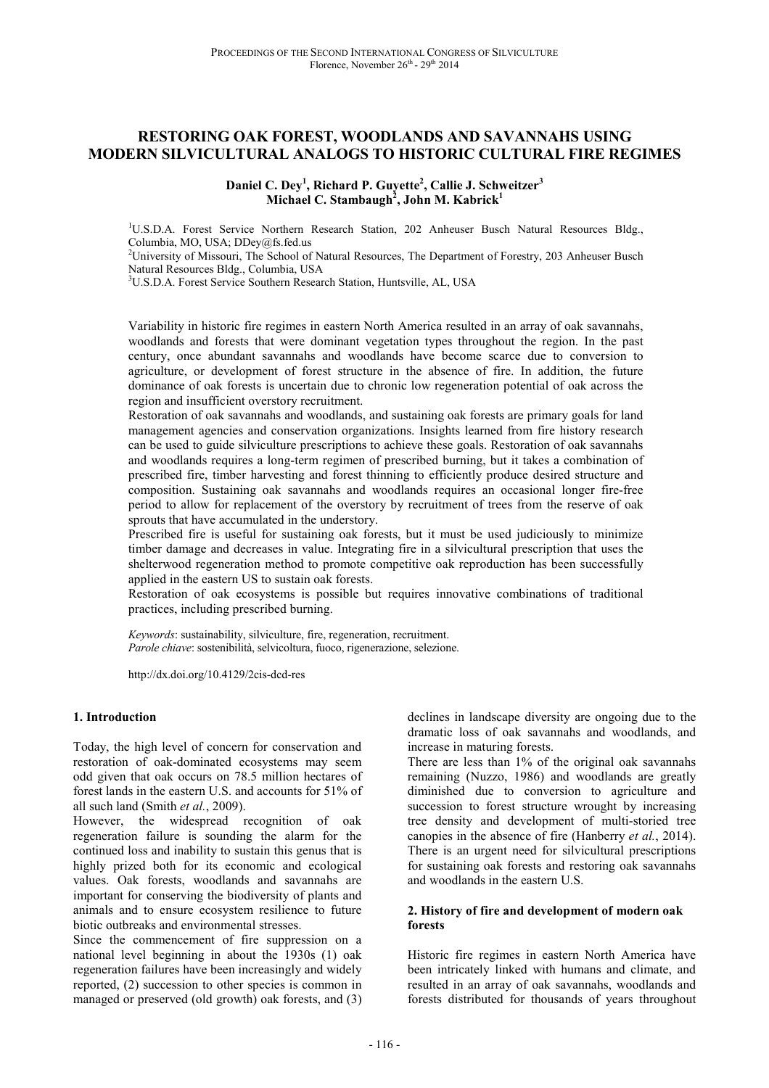# **RESTORING OAK FOREST, WOODLANDS AND SAVANNAHS USING MODERN SILVICULTURAL ANALOGS TO HISTORIC CULTURAL FIRE REGIMES**

**Daniel C. Dey<sup>1</sup> , Richard P. Guyette<sup>2</sup> , Callie J. Schweitzer<sup>3</sup> Michael C. Stambaugh<sup>2</sup> , John M. Kabrick<sup>1</sup>**

<sup>1</sup>U.S.D.A. Forest Service Northern Research Station, 202 Anheuser Busch Natural Resources Bldg., Columbia, MO, USA; DDey@fs.fed.us

<sup>2</sup>University of Missouri, The School of Natural Resources, The Department of Forestry, 203 Anheuser Busch Natural Resources Bldg., Columbia, USA

<sup>3</sup>U.S.D.A. Forest Service Southern Research Station, Huntsville, AL, USA

Variability in historic fire regimes in eastern North America resulted in an array of oak savannahs, woodlands and forests that were dominant vegetation types throughout the region. In the past century, once abundant savannahs and woodlands have become scarce due to conversion to agriculture, or development of forest structure in the absence of fire. In addition, the future dominance of oak forests is uncertain due to chronic low regeneration potential of oak across the region and insufficient overstory recruitment.

Restoration of oak savannahs and woodlands, and sustaining oak forests are primary goals for land management agencies and conservation organizations. Insights learned from fire history research can be used to guide silviculture prescriptions to achieve these goals. Restoration of oak savannahs and woodlands requires a long-term regimen of prescribed burning, but it takes a combination of prescribed fire, timber harvesting and forest thinning to efficiently produce desired structure and composition. Sustaining oak savannahs and woodlands requires an occasional longer fire-free period to allow for replacement of the overstory by recruitment of trees from the reserve of oak sprouts that have accumulated in the understory.

Prescribed fire is useful for sustaining oak forests, but it must be used judiciously to minimize timber damage and decreases in value. Integrating fire in a silvicultural prescription that uses the shelterwood regeneration method to promote competitive oak reproduction has been successfully applied in the eastern US to sustain oak forests.

Restoration of oak ecosystems is possible but requires innovative combinations of traditional practices, including prescribed burning.

*Keywords*: sustainability, silviculture, fire, regeneration, recruitment. *Parole chiave*: sostenibilità, selvicoltura, fuoco, rigenerazione, selezione.

http://dx.doi.org/10.4129/2cis-dcd-res

#### **1. Introduction**

Today, the high level of concern for conservation and restoration of oak-dominated ecosystems may seem odd given that oak occurs on 78.5 million hectares of forest lands in the eastern U.S. and accounts for 51% of all such land (Smith *et al.*, 2009).

However, the widespread recognition of oak regeneration failure is sounding the alarm for the continued loss and inability to sustain this genus that is highly prized both for its economic and ecological values. Oak forests, woodlands and savannahs are important for conserving the biodiversity of plants and animals and to ensure ecosystem resilience to future biotic outbreaks and environmental stresses.

Since the commencement of fire suppression on a national level beginning in about the 1930s (1) oak regeneration failures have been increasingly and widely reported, (2) succession to other species is common in managed or preserved (old growth) oak forests, and (3)

declines in landscape diversity are ongoing due to the dramatic loss of oak savannahs and woodlands, and increase in maturing forests.

There are less than 1% of the original oak savannahs remaining (Nuzzo, 1986) and woodlands are greatly diminished due to conversion to agriculture and succession to forest structure wrought by increasing tree density and development of multi-storied tree canopies in the absence of fire (Hanberry *et al.*, 2014). There is an urgent need for silvicultural prescriptions for sustaining oak forests and restoring oak savannahs and woodlands in the eastern U.S.

#### **2. History of fire and development of modern oak forests**

Historic fire regimes in eastern North America have been intricately linked with humans and climate, and resulted in an array of oak savannahs, woodlands and forests distributed for thousands of years throughout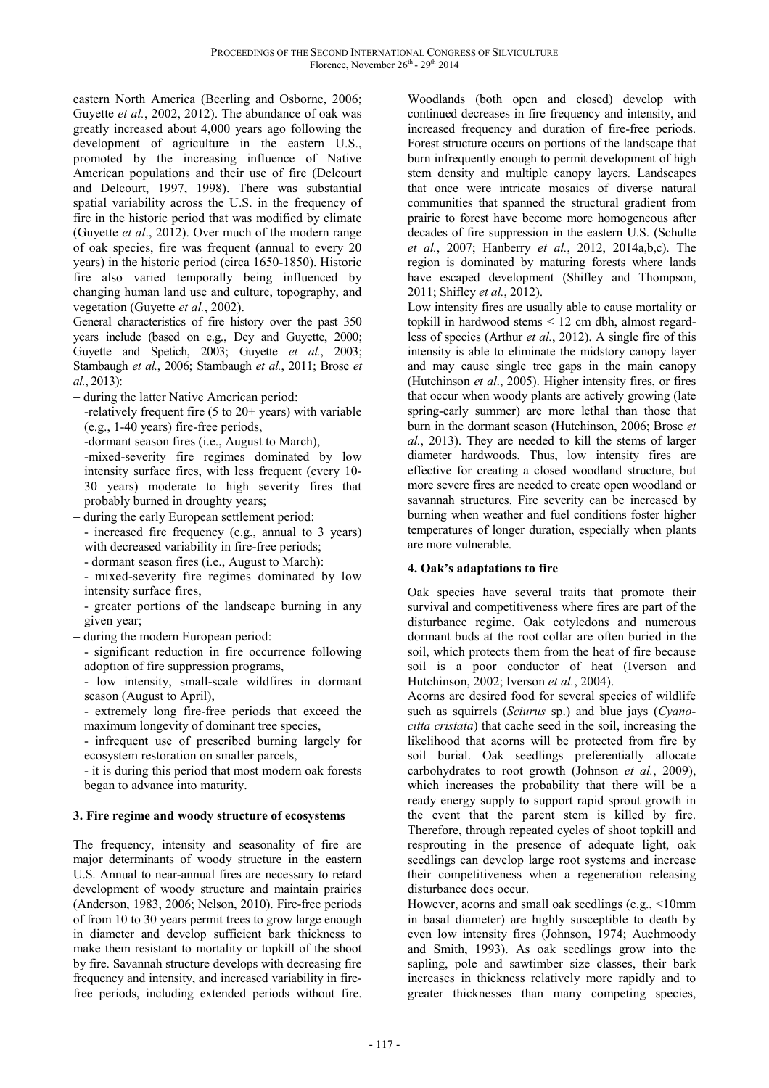eastern North America (Beerling and Osborne, 2006; Guyette *et al.*, 2002, 2012). The abundance of oak was greatly increased about 4,000 years ago following the development of agriculture in the eastern U.S., promoted by the increasing influence of Native American populations and their use of fire (Delcourt and Delcourt, 1997, 1998). There was substantial spatial variability across the U.S. in the frequency of fire in the historic period that was modified by climate (Guyette *et al*., 2012). Over much of the modern range of oak species, fire was frequent (annual to every 20 years) in the historic period (circa 1650-1850). Historic fire also varied temporally being influenced by changing human land use and culture, topography, and vegetation (Guyette *et al.*, 2002).

General characteristics of fire history over the past 350 years include (based on e.g., Dey and Guyette, 2000; Guyette and Spetich, 2003; Guyette *et al.*, 2003; Stambaugh *et al.*, 2006; Stambaugh *et al.*, 2011; Brose *et al.*, 2013):

- − during the latter Native American period:
- -relatively frequent fire (5 to 20+ years) with variable (e.g., 1-40 years) fire-free periods,

-dormant season fires (i.e., August to March),

-mixed-severity fire regimes dominated by low intensity surface fires, with less frequent (every 10- 30 years) moderate to high severity fires that probably burned in droughty years;

- − during the early European settlement period:
	- increased fire frequency (e.g., annual to 3 years) with decreased variability in fire-free periods;
	- dormant season fires (i.e., August to March):
	- mixed-severity fire regimes dominated by low intensity surface fires,

- greater portions of the landscape burning in any given year;

− during the modern European period:

- significant reduction in fire occurrence following adoption of fire suppression programs,

- low intensity, small-scale wildfires in dormant season (August to April),

- extremely long fire-free periods that exceed the maximum longevity of dominant tree species,

- infrequent use of prescribed burning largely for ecosystem restoration on smaller parcels,

- it is during this period that most modern oak forests began to advance into maturity.

## **3. Fire regime and woody structure of ecosystems**

The frequency, intensity and seasonality of fire are major determinants of woody structure in the eastern U.S. Annual to near-annual fires are necessary to retard development of woody structure and maintain prairies (Anderson, 1983, 2006; Nelson, 2010). Fire-free periods of from 10 to 30 years permit trees to grow large enough in diameter and develop sufficient bark thickness to make them resistant to mortality or topkill of the shoot by fire. Savannah structure develops with decreasing fire frequency and intensity, and increased variability in firefree periods, including extended periods without fire.

Woodlands (both open and closed) develop with continued decreases in fire frequency and intensity, and increased frequency and duration of fire-free periods. Forest structure occurs on portions of the landscape that burn infrequently enough to permit development of high stem density and multiple canopy layers. Landscapes that once were intricate mosaics of diverse natural communities that spanned the structural gradient from prairie to forest have become more homogeneous after decades of fire suppression in the eastern U.S. (Schulte *et al.*, 2007; Hanberry *et al.*, 2012, 2014a,b,c). The region is dominated by maturing forests where lands have escaped development (Shifley and Thompson, 2011; Shifley *et al.*, 2012).

Low intensity fires are usually able to cause mortality or topkill in hardwood stems < 12 cm dbh, almost regardless of species (Arthur *et al.*, 2012). A single fire of this intensity is able to eliminate the midstory canopy layer and may cause single tree gaps in the main canopy (Hutchinson *et al*., 2005). Higher intensity fires, or fires that occur when woody plants are actively growing (late spring-early summer) are more lethal than those that burn in the dormant season (Hutchinson, 2006; Brose *et al.*, 2013). They are needed to kill the stems of larger diameter hardwoods. Thus, low intensity fires are effective for creating a closed woodland structure, but more severe fires are needed to create open woodland or savannah structures. Fire severity can be increased by burning when weather and fuel conditions foster higher temperatures of longer duration, especially when plants are more vulnerable.

## **4. Oak's adaptations to fire**

Oak species have several traits that promote their survival and competitiveness where fires are part of the disturbance regime. Oak cotyledons and numerous dormant buds at the root collar are often buried in the soil, which protects them from the heat of fire because soil is a poor conductor of heat (Iverson and Hutchinson, 2002; Iverson *et al.*, 2004).

Acorns are desired food for several species of wildlife such as squirrels (*Sciurus* sp.) and blue jays (*Cyanocitta cristata*) that cache seed in the soil, increasing the likelihood that acorns will be protected from fire by soil burial. Oak seedlings preferentially allocate carbohydrates to root growth (Johnson *et al.*, 2009), which increases the probability that there will be a ready energy supply to support rapid sprout growth in the event that the parent stem is killed by fire. Therefore, through repeated cycles of shoot topkill and resprouting in the presence of adequate light, oak seedlings can develop large root systems and increase their competitiveness when a regeneration releasing disturbance does occur.

However, acorns and small oak seedlings (e.g., <10mm in basal diameter) are highly susceptible to death by even low intensity fires (Johnson, 1974; Auchmoody and Smith, 1993). As oak seedlings grow into the sapling, pole and sawtimber size classes, their bark increases in thickness relatively more rapidly and to greater thicknesses than many competing species,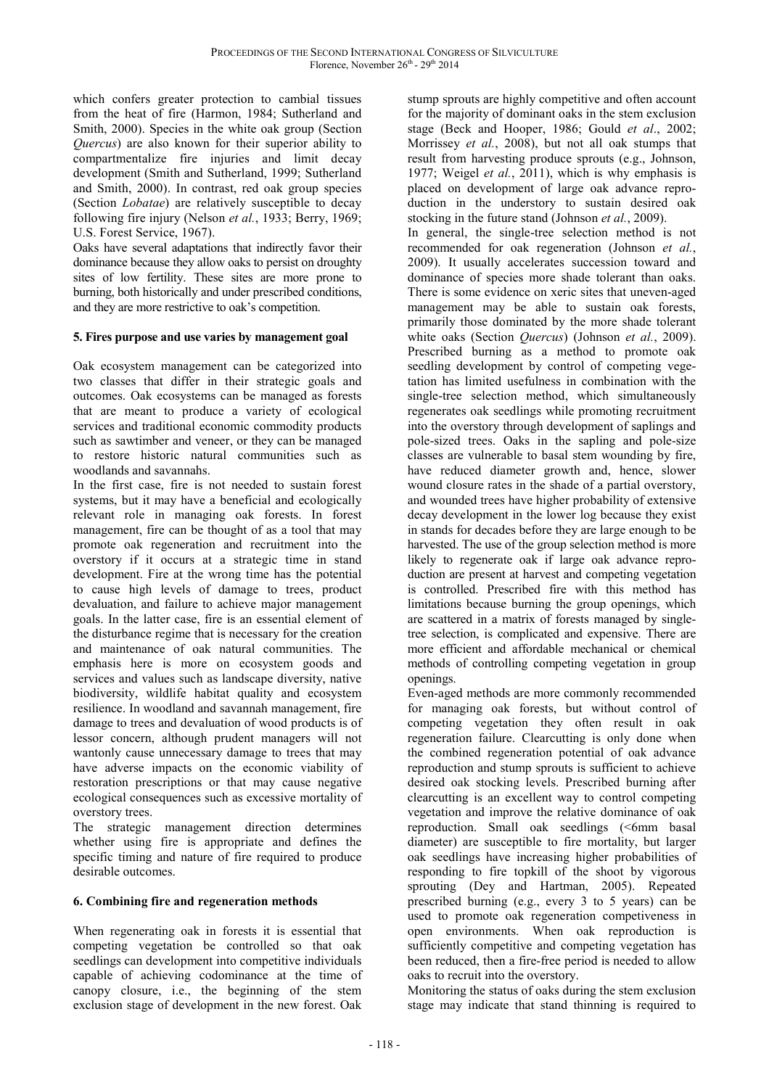which confers greater protection to cambial tissues from the heat of fire (Harmon, 1984; Sutherland and Smith, 2000). Species in the white oak group (Section *Quercus*) are also known for their superior ability to compartmentalize fire injuries and limit decay development (Smith and Sutherland, 1999; Sutherland and Smith, 2000). In contrast, red oak group species (Section *Lobatae*) are relatively susceptible to decay following fire injury (Nelson *et al.*, 1933; Berry, 1969; U.S. Forest Service, 1967).

Oaks have several adaptations that indirectly favor their dominance because they allow oaks to persist on droughty sites of low fertility. These sites are more prone to burning, both historically and under prescribed conditions, and they are more restrictive to oak's competition.

#### **5. Fires purpose and use varies by management goal**

Oak ecosystem management can be categorized into two classes that differ in their strategic goals and outcomes. Oak ecosystems can be managed as forests that are meant to produce a variety of ecological services and traditional economic commodity products such as sawtimber and veneer, or they can be managed to restore historic natural communities such as woodlands and savannahs.

In the first case, fire is not needed to sustain forest systems, but it may have a beneficial and ecologically relevant role in managing oak forests. In forest management, fire can be thought of as a tool that may promote oak regeneration and recruitment into the overstory if it occurs at a strategic time in stand development. Fire at the wrong time has the potential to cause high levels of damage to trees, product devaluation, and failure to achieve major management goals. In the latter case, fire is an essential element of the disturbance regime that is necessary for the creation and maintenance of oak natural communities. The emphasis here is more on ecosystem goods and services and values such as landscape diversity, native biodiversity, wildlife habitat quality and ecosystem resilience. In woodland and savannah management, fire damage to trees and devaluation of wood products is of lessor concern, although prudent managers will not wantonly cause unnecessary damage to trees that may have adverse impacts on the economic viability of restoration prescriptions or that may cause negative ecological consequences such as excessive mortality of overstory trees.

The strategic management direction determines whether using fire is appropriate and defines the specific timing and nature of fire required to produce desirable outcomes.

## **6. Combining fire and regeneration methods**

When regenerating oak in forests it is essential that competing vegetation be controlled so that oak seedlings can development into competitive individuals capable of achieving codominance at the time of canopy closure, i.e., the beginning of the stem exclusion stage of development in the new forest. Oak

stump sprouts are highly competitive and often account for the majority of dominant oaks in the stem exclusion stage (Beck and Hooper, 1986; Gould *et al*., 2002; Morrissey *et al.*, 2008), but not all oak stumps that result from harvesting produce sprouts (e.g., Johnson, 1977; Weigel *et al.*, 2011), which is why emphasis is placed on development of large oak advance reproduction in the understory to sustain desired oak stocking in the future stand (Johnson *et al.*, 2009).

In general, the single-tree selection method is not recommended for oak regeneration (Johnson *et al.*, 2009). It usually accelerates succession toward and dominance of species more shade tolerant than oaks. There is some evidence on xeric sites that uneven-aged management may be able to sustain oak forests, primarily those dominated by the more shade tolerant white oaks (Section *Quercus*) (Johnson *et al.*, 2009). Prescribed burning as a method to promote oak seedling development by control of competing vegetation has limited usefulness in combination with the single-tree selection method, which simultaneously regenerates oak seedlings while promoting recruitment into the overstory through development of saplings and pole-sized trees. Oaks in the sapling and pole-size classes are vulnerable to basal stem wounding by fire, have reduced diameter growth and, hence, slower wound closure rates in the shade of a partial overstory, and wounded trees have higher probability of extensive decay development in the lower log because they exist in stands for decades before they are large enough to be harvested. The use of the group selection method is more likely to regenerate oak if large oak advance reproduction are present at harvest and competing vegetation is controlled. Prescribed fire with this method has limitations because burning the group openings, which are scattered in a matrix of forests managed by singletree selection, is complicated and expensive. There are more efficient and affordable mechanical or chemical methods of controlling competing vegetation in group openings.

Even-aged methods are more commonly recommended for managing oak forests, but without control of competing vegetation they often result in oak regeneration failure. Clearcutting is only done when the combined regeneration potential of oak advance reproduction and stump sprouts is sufficient to achieve desired oak stocking levels. Prescribed burning after clearcutting is an excellent way to control competing vegetation and improve the relative dominance of oak reproduction. Small oak seedlings (<6mm basal diameter) are susceptible to fire mortality, but larger oak seedlings have increasing higher probabilities of responding to fire topkill of the shoot by vigorous sprouting (Dey and Hartman, 2005). Repeated prescribed burning (e.g., every 3 to 5 years) can be used to promote oak regeneration competiveness in open environments. When oak reproduction is sufficiently competitive and competing vegetation has been reduced, then a fire-free period is needed to allow oaks to recruit into the overstory.

Monitoring the status of oaks during the stem exclusion stage may indicate that stand thinning is required to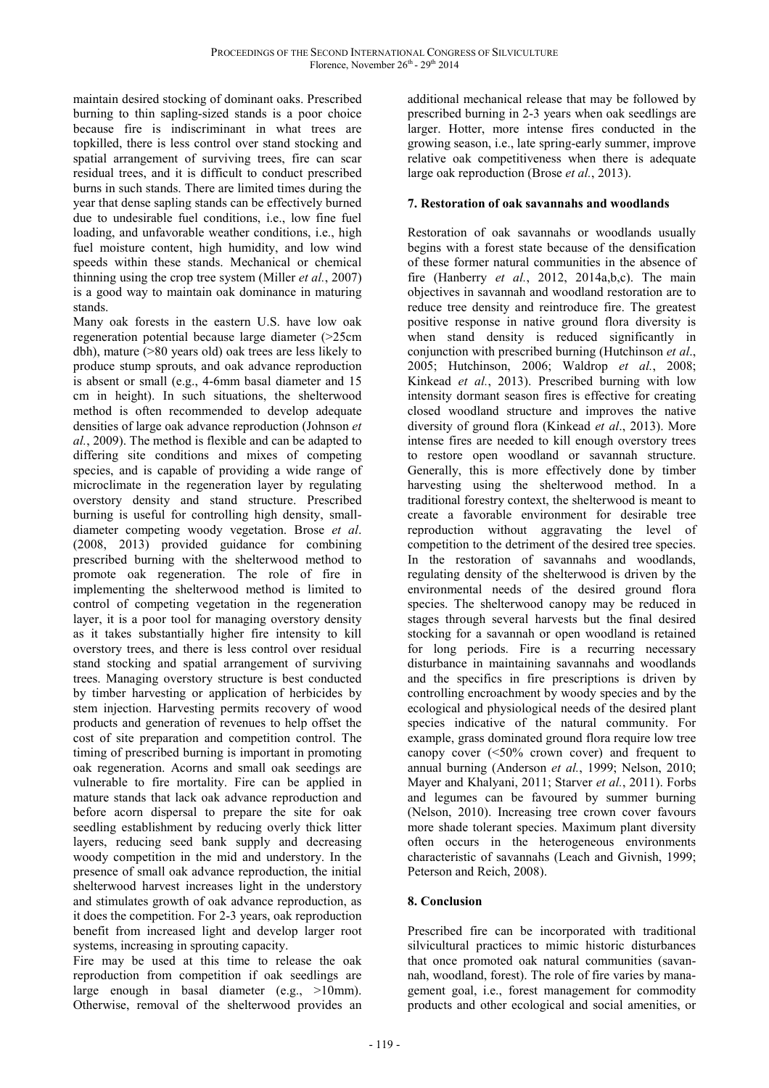maintain desired stocking of dominant oaks. Prescribed burning to thin sapling-sized stands is a poor choice because fire is indiscriminant in what trees are topkilled, there is less control over stand stocking and spatial arrangement of surviving trees, fire can scar residual trees, and it is difficult to conduct prescribed burns in such stands. There are limited times during the year that dense sapling stands can be effectively burned due to undesirable fuel conditions, i.e., low fine fuel loading, and unfavorable weather conditions, i.e., high fuel moisture content, high humidity, and low wind speeds within these stands. Mechanical or chemical thinning using the crop tree system (Miller *et al.*, 2007) is a good way to maintain oak dominance in maturing stands.

Many oak forests in the eastern U.S. have low oak regeneration potential because large diameter (>25cm dbh), mature (>80 years old) oak trees are less likely to produce stump sprouts, and oak advance reproduction is absent or small (e.g., 4-6mm basal diameter and 15 cm in height). In such situations, the shelterwood method is often recommended to develop adequate densities of large oak advance reproduction (Johnson *et al.*, 2009). The method is flexible and can be adapted to differing site conditions and mixes of competing species, and is capable of providing a wide range of microclimate in the regeneration layer by regulating overstory density and stand structure. Prescribed burning is useful for controlling high density, smalldiameter competing woody vegetation. Brose *et al*. (2008, 2013) provided guidance for combining prescribed burning with the shelterwood method to promote oak regeneration. The role of fire in implementing the shelterwood method is limited to control of competing vegetation in the regeneration layer, it is a poor tool for managing overstory density as it takes substantially higher fire intensity to kill overstory trees, and there is less control over residual stand stocking and spatial arrangement of surviving trees. Managing overstory structure is best conducted by timber harvesting or application of herbicides by stem injection. Harvesting permits recovery of wood products and generation of revenues to help offset the cost of site preparation and competition control. The timing of prescribed burning is important in promoting oak regeneration. Acorns and small oak seedings are vulnerable to fire mortality. Fire can be applied in mature stands that lack oak advance reproduction and before acorn dispersal to prepare the site for oak seedling establishment by reducing overly thick litter layers, reducing seed bank supply and decreasing woody competition in the mid and understory. In the presence of small oak advance reproduction, the initial shelterwood harvest increases light in the understory and stimulates growth of oak advance reproduction, as it does the competition. For 2-3 years, oak reproduction benefit from increased light and develop larger root systems, increasing in sprouting capacity.

Fire may be used at this time to release the oak reproduction from competition if oak seedlings are large enough in basal diameter (e.g., >10mm). Otherwise, removal of the shelterwood provides an

additional mechanical release that may be followed by prescribed burning in 2-3 years when oak seedlings are larger. Hotter, more intense fires conducted in the growing season, i.e., late spring-early summer, improve relative oak competitiveness when there is adequate large oak reproduction (Brose *et al.*, 2013).

## **7. Restoration of oak savannahs and woodlands**

Restoration of oak savannahs or woodlands usually begins with a forest state because of the densification of these former natural communities in the absence of fire (Hanberry *et al.*, 2012, 2014a,b,c). The main objectives in savannah and woodland restoration are to reduce tree density and reintroduce fire. The greatest positive response in native ground flora diversity is when stand density is reduced significantly in conjunction with prescribed burning (Hutchinson *et al*., 2005; Hutchinson, 2006; Waldrop *et al.*, 2008; Kinkead *et al.*, 2013). Prescribed burning with low intensity dormant season fires is effective for creating closed woodland structure and improves the native diversity of ground flora (Kinkead *et al*., 2013). More intense fires are needed to kill enough overstory trees to restore open woodland or savannah structure. Generally, this is more effectively done by timber harvesting using the shelterwood method. In a traditional forestry context, the shelterwood is meant to create a favorable environment for desirable tree reproduction without aggravating the level of competition to the detriment of the desired tree species. In the restoration of savannahs and woodlands, regulating density of the shelterwood is driven by the environmental needs of the desired ground flora species. The shelterwood canopy may be reduced in stages through several harvests but the final desired stocking for a savannah or open woodland is retained for long periods. Fire is a recurring necessary disturbance in maintaining savannahs and woodlands and the specifics in fire prescriptions is driven by controlling encroachment by woody species and by the ecological and physiological needs of the desired plant species indicative of the natural community. For example, grass dominated ground flora require low tree canopy cover  $(\leq 50\%$  crown cover) and frequent to annual burning (Anderson *et al.*, 1999; Nelson, 2010; Mayer and Khalyani, 2011; Starver *et al.*, 2011). Forbs and legumes can be favoured by summer burning (Nelson, 2010). Increasing tree crown cover favours more shade tolerant species. Maximum plant diversity often occurs in the heterogeneous environments characteristic of savannahs (Leach and Givnish, 1999; Peterson and Reich, 2008).

## **8. Conclusion**

Prescribed fire can be incorporated with traditional silvicultural practices to mimic historic disturbances that once promoted oak natural communities (savannah, woodland, forest). The role of fire varies by management goal, i.e., forest management for commodity products and other ecological and social amenities, or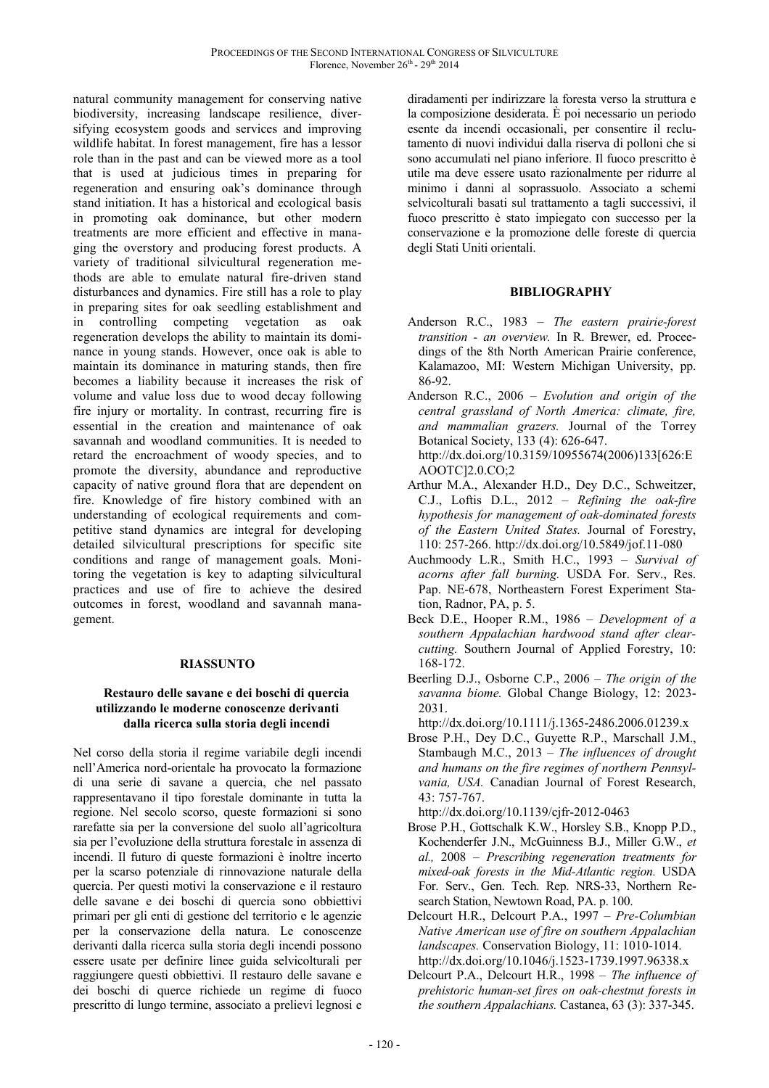natural community management for conserving native biodiversity, increasing landscape resilience, diversifying ecosystem goods and services and improving wildlife habitat. In forest management, fire has a lessor role than in the past and can be viewed more as a tool that is used at judicious times in preparing for regeneration and ensuring oak's dominance through stand initiation. It has a historical and ecological basis in promoting oak dominance, but other modern treatments are more efficient and effective in managing the overstory and producing forest products. A variety of traditional silvicultural regeneration methods are able to emulate natural fire-driven stand disturbances and dynamics. Fire still has a role to play in preparing sites for oak seedling establishment and in controlling competing vegetation as oak regeneration develops the ability to maintain its dominance in young stands. However, once oak is able to maintain its dominance in maturing stands, then fire becomes a liability because it increases the risk of volume and value loss due to wood decay following fire injury or mortality. In contrast, recurring fire is essential in the creation and maintenance of oak savannah and woodland communities. It is needed to retard the encroachment of woody species, and to promote the diversity, abundance and reproductive capacity of native ground flora that are dependent on fire. Knowledge of fire history combined with an understanding of ecological requirements and competitive stand dynamics are integral for developing detailed silvicultural prescriptions for specific site conditions and range of management goals. Monitoring the vegetation is key to adapting silvicultural practices and use of fire to achieve the desired outcomes in forest, woodland and savannah management.

## **RIASSUNTO**

#### **Restauro delle savane e dei boschi di quercia utilizzando le moderne conoscenze derivanti dalla ricerca sulla storia degli incendi**

Nel corso della storia il regime variabile degli incendi nell'America nord-orientale ha provocato la formazione di una serie di savane a quercia, che nel passato rappresentavano il tipo forestale dominante in tutta la regione. Nel secolo scorso, queste formazioni si sono rarefatte sia per la conversione del suolo all'agricoltura sia per l'evoluzione della struttura forestale in assenza di incendi. Il futuro di queste formazioni è inoltre incerto per la scarso potenziale di rinnovazione naturale della quercia. Per questi motivi la conservazione e il restauro delle savane e dei boschi di quercia sono obbiettivi primari per gli enti di gestione del territorio e le agenzie per la conservazione della natura. Le conoscenze derivanti dalla ricerca sulla storia degli incendi possono essere usate per definire linee guida selvicolturali per raggiungere questi obbiettivi. Il restauro delle savane e dei boschi di querce richiede un regime di fuoco prescritto di lungo termine, associato a prelievi legnosi e

diradamenti per indirizzare la foresta verso la struttura e la composizione desiderata. È poi necessario un periodo esente da incendi occasionali, per consentire il reclutamento di nuovi individui dalla riserva di polloni che si sono accumulati nel piano inferiore. Il fuoco prescritto è utile ma deve essere usato razionalmente per ridurre al minimo i danni al soprassuolo. Associato a schemi selvicolturali basati sul trattamento a tagli successivi, il fuoco prescritto è stato impiegato con successo per la conservazione e la promozione delle foreste di quercia degli Stati Uniti orientali.

#### **BIBLIOGRAPHY**

- Anderson R.C., 1983 *The eastern prairie-forest transition - an overview.* In R. Brewer, ed. Proceedings of the 8th North American Prairie conference, Kalamazoo, MI: Western Michigan University, pp. 86-92.
- Anderson R.C., 2006 *Evolution and origin of the central grassland of North America: climate, fire, and mammalian grazers.* Journal of the Torrey Botanical Society, 133 (4): 626-647.

http://dx.doi.org/10.3159/10955674(2006)133[626:E AOOTC]2.0.CO;2

- Arthur M.A., Alexander H.D., Dey D.C., Schweitzer, C.J., Loftis D.L., 2012 – *Refining the oak-fire hypothesis for management of oak-dominated forests of the Eastern United States.* Journal of Forestry, 110: 257-266. http://dx.doi.org/10.5849/jof.11-080
- Auchmoody L.R., Smith H.C., 1993 *Survival of acorns after fall burning.* USDA For. Serv., Res. Pap. NE-678, Northeastern Forest Experiment Station, Radnor, PA, p. 5.
- Beck D.E., Hooper R.M., 1986 *Development of a southern Appalachian hardwood stand after clearcutting.* Southern Journal of Applied Forestry, 10: 168-172.
- Beerling D.J., Osborne C.P., 2006 *The origin of the savanna biome.* Global Change Biology, 12: 2023- 2031.

Brose P.H., Dey D.C., Guyette R.P., Marschall J.M., Stambaugh M.C., 2013 – *The influences of drought and humans on the fire regimes of northern Pennsylvania, USA.* Canadian Journal of Forest Research, 43: 757-767.

http://dx.doi.org/10.1139/cjfr-2012-0463

- Brose P.H., Gottschalk K.W., Horsley S.B., Knopp P.D., Kochenderfer J.N., McGuinness B.J., Miller G.W., *et al.,* 2008 – *Prescribing regeneration treatments for mixed-oak forests in the Mid-Atlantic region.* USDA For. Serv., Gen. Tech. Rep. NRS-33, Northern Research Station, Newtown Road, PA. p. 100.
- Delcourt H.R., Delcourt P.A., 1997 *Pre-Columbian Native American use of fire on southern Appalachian landscapes.* Conservation Biology, 11: 1010-1014. http://dx.doi.org/10.1046/j.1523-1739.1997.96338.x
- Delcourt P.A., Delcourt H.R., 1998 *The influence of prehistoric human-set fires on oak-chestnut forests in the southern Appalachians.* Castanea, 63 (3): 337-345.

http://dx.doi.org/10.1111/j.1365-2486.2006.01239.x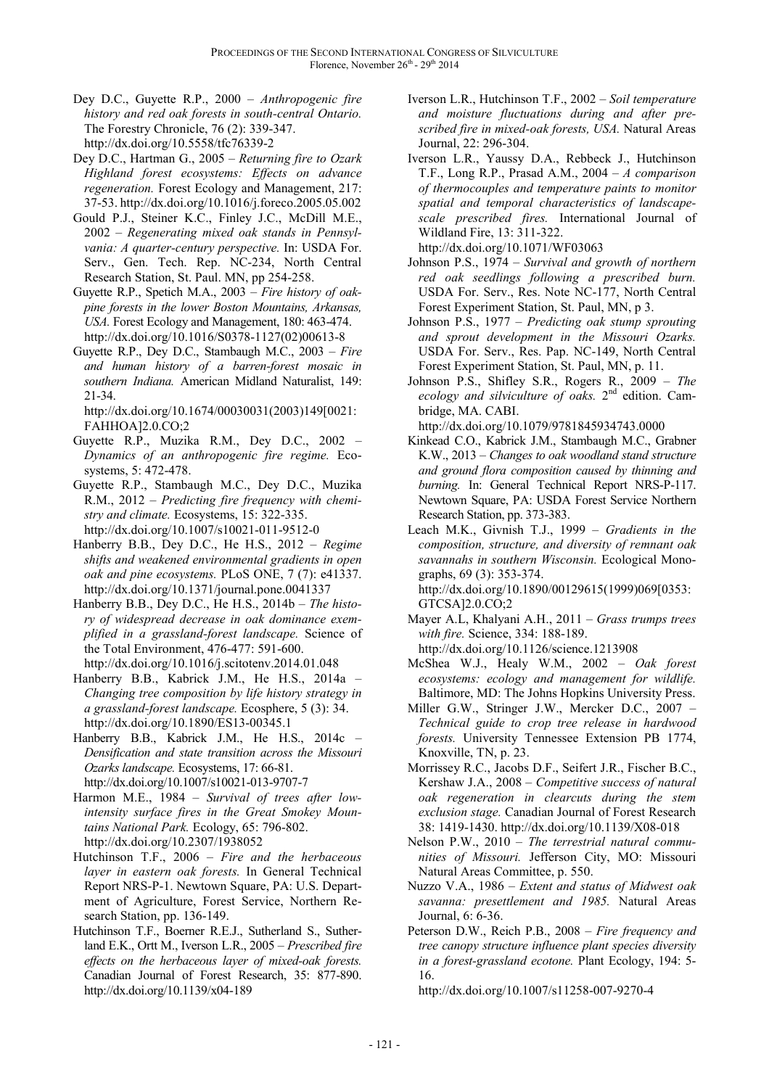- Dey D.C., Guyette R.P., 2000 *Anthropogenic fire history and red oak forests in south-central Ontario.* The Forestry Chronicle, 76 (2): 339-347. http://dx.doi.org/10.5558/tfc76339-2
- Dey D.C., Hartman G., 2005 *Returning fire to Ozark Highland forest ecosystems: Effects on advance regeneration.* Forest Ecology and Management, 217: 37-53. http://dx.doi.org/10.1016/j.foreco.2005.05.002
- Gould P.J., Steiner K.C., Finley J.C., McDill M.E., 2002 – *Regenerating mixed oak stands in Pennsylvania: A quarter-century perspective.* In: USDA For. Serv., Gen. Tech. Rep. NC-234, North Central Research Station, St. Paul. MN, pp 254-258.
- Guyette R.P., Spetich M.A., 2003 *Fire history of oakpine forests in the lower Boston Mountains, Arkansas, USA.* Forest Ecology and Management, 180: 463-474. http://dx.doi.org/10.1016/S0378-1127(02)00613-8
- Guyette R.P., Dey D.C., Stambaugh M.C., 2003 *Fire and human history of a barren-forest mosaic in southern Indiana.* American Midland Naturalist, 149: 21-34.

http://dx.doi.org/10.1674/00030031(2003)149[0021: FAHHOA]2.0.CO;2

- Guyette R.P., Muzika R.M., Dey D.C., 2002 *Dynamics of an anthropogenic fire regime.* Ecosystems, 5: 472-478.
- Guyette R.P., Stambaugh M.C., Dey D.C., Muzika R.M., 2012 – *Predicting fire frequency with chemistry and climate.* Ecosystems, 15: 322-335. http://dx.doi.org/10.1007/s10021-011-9512-0
- Hanberry B.B., Dey D.C., He H.S., 2012 *Regime shifts and weakened environmental gradients in open oak and pine ecosystems.* PLoS ONE, 7 (7): e41337. http://dx.doi.org/10.1371/journal.pone.0041337
- Hanberry B.B., Dey D.C., He H.S., 2014b *The history of widespread decrease in oak dominance exemplified in a grassland-forest landscape.* Science of the Total Environment, 476-477: 591-600. http://dx.doi.org/10.1016/j.scitotenv.2014.01.048
- Hanberry B.B., Kabrick J.M., He H.S., 2014a *Changing tree composition by life history strategy in a grassland-forest landscape.* Ecosphere, 5 (3): 34. http://dx.doi.org/10.1890/ES13-00345.1
- Hanberry B.B., Kabrick J.M., He H.S., 2014c *Densification and state transition across the Missouri Ozarks landscape.* Ecosystems, 17: 66-81. http://dx.doi.org/10.1007/s10021-013-9707-7
- Harmon M.E., 1984 *Survival of trees after lowintensity surface fires in the Great Smokey Mountains National Park.* Ecology, 65: 796-802. http://dx.doi.org/10.2307/1938052
- Hutchinson T.F., 2006 *Fire and the herbaceous layer in eastern oak forests.* In General Technical Report NRS-P-1. Newtown Square, PA: U.S. Department of Agriculture, Forest Service, Northern Research Station, pp. 136-149.
- Hutchinson T.F., Boerner R.E.J., Sutherland S., Sutherland E.K., Ortt M., Iverson L.R., 2005 – *Prescribed fire effects on the herbaceous layer of mixed-oak forests.*  Canadian Journal of Forest Research, 35: 877-890. http://dx.doi.org/10.1139/x04-189
- Iverson L.R., Hutchinson T.F., 2002 *Soil temperature and moisture fluctuations during and after prescribed fire in mixed-oak forests, USA.* Natural Areas Journal, 22: 296-304.
- Iverson L.R., Yaussy D.A., Rebbeck J., Hutchinson T.F., Long R.P., Prasad A.M., 2004 – *A comparison of thermocouples and temperature paints to monitor spatial and temporal characteristics of landscapescale prescribed fires.* International Journal of Wildland Fire, 13: 311-322. http://dx.doi.org/10.1071/WF03063

Johnson P.S., 1974 – *Survival and growth of northern red oak seedlings following a prescribed burn.* USDA For. Serv., Res. Note NC-177, North Central Forest Experiment Station, St. Paul, MN, p 3.

- Johnson P.S., 1977 *Predicting oak stump sprouting and sprout development in the Missouri Ozarks.* USDA For. Serv., Res. Pap. NC-149, North Central Forest Experiment Station, St. Paul, MN, p. 11.
- Johnson P.S., Shifley S.R., Rogers R., 2009 *The ecology and silviculture of oaks.* 2nd edition. Cambridge, MA. CABI.

http://dx.doi.org/10.1079/9781845934743.0000

- Kinkead C.O., Kabrick J.M., Stambaugh M.C., Grabner K.W., 2013 – *Changes to oak woodland stand structure and ground flora composition caused by thinning and burning.* In: General Technical Report NRS-P-117. Newtown Square, PA: USDA Forest Service Northern Research Station, pp. 373-383.
- Leach M.K., Givnish T.J., 1999 *Gradients in the composition, structure, and diversity of remnant oak savannahs in southern Wisconsin.* Ecological Monographs, 69 (3): 353-374. http://dx.doi.org/10.1890/00129615(1999)069[0353:

GTCSA]2.0.CO;2 Mayer A.L, Khalyani A.H., 2011 – *Grass trumps trees with fire.* Science, 334: 188-189.

http://dx.doi.org/10.1126/science.1213908

- McShea W.J., Healy W.M., 2002 *Oak forest ecosystems: ecology and management for wildlife.* Baltimore, MD: The Johns Hopkins University Press.
- Miller G.W., Stringer J.W., Mercker D.C., 2007 *Technical guide to crop tree release in hardwood forests.* University Tennessee Extension PB 1774, Knoxville, TN, p. 23.
- Morrissey R.C., Jacobs D.F., Seifert J.R., Fischer B.C., Kershaw J.A., 2008 – *Competitive success of natural oak regeneration in clearcuts during the stem exclusion stage.* Canadian Journal of Forest Research 38: 1419-1430. http://dx.doi.org/10.1139/X08-018
- Nelson P.W., 2010 *The terrestrial natural communities of Missouri.* Jefferson City, MO: Missouri Natural Areas Committee, p. 550.
- Nuzzo V.A., 1986 *Extent and status of Midwest oak savanna: presettlement and 1985.* Natural Areas Journal, 6: 6-36.
- Peterson D.W., Reich P.B., 2008 *Fire frequency and tree canopy structure influence plant species diversity in a forest-grassland ecotone.* Plant Ecology, 194: 5- 16.

http://dx.doi.org/10.1007/s11258-007-9270-4